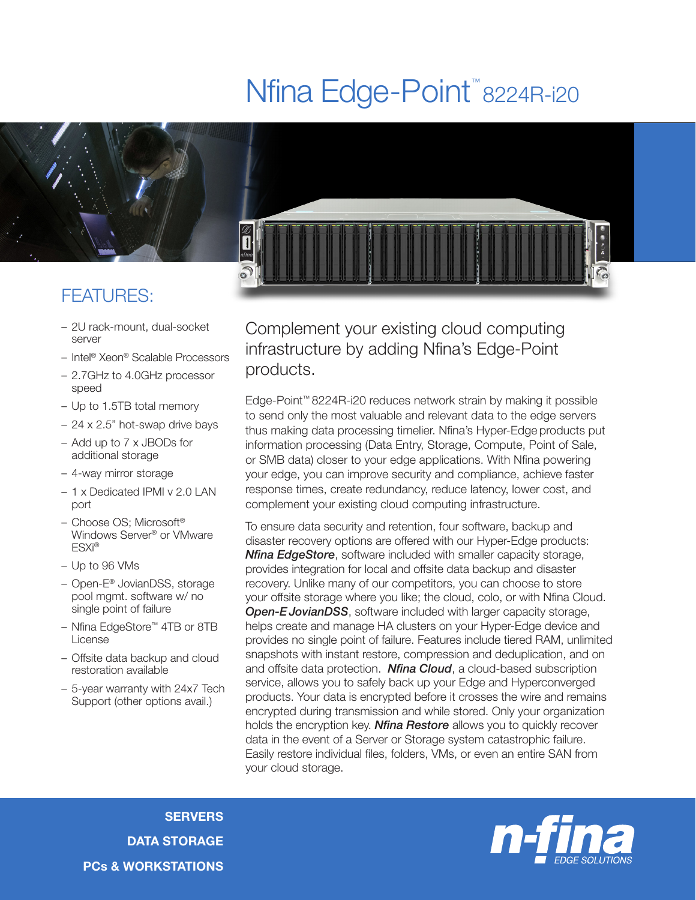## Nfina Edge-Point<sup>™</sup>8224R-i20



## FEATURES:

- 2U rack-mount, dual-socket server
- Intel® Xeon® Scalable Processors

0

- 2.7GHz to 4.0GHz processor speed
- Up to 1.5TB total memory
- 24 x 2.5" hot-swap drive bays
- Add up to 7 x JBODs for additional storage
- 4-way mirror storage
- 1 x Dedicated IPMI v 2.0 LAN port
- Choose OS; Microsoft® Windows Server® or VMware ESXi®
- Up to 96 VMs
- Open-E® JovianDSS, storage pool mgmt. software w/ no single point of failure
- Nfina EdgeStore™ 4TB or 8TB License
- Offsite data backup and cloud restoration available
- 5-year warranty with 24x7 Tech Support (other options avail.)

Complement your existing cloud computing infrastructure by adding Nfina's Edge-Point products.

Edge-Point™ 8224R-i20 reduces network strain by making it possible to send only the most valuable and relevant data to the edge servers thus making data processing timelier. Nfina's Hyper-Edge products put information processing (Data Entry, Storage, Compute, Point of Sale, or SMB data) closer to your edge applications. With Nfina powering your edge, you can improve security and compliance, achieve faster response times, create redundancy, reduce latency, lower cost, and complement your existing cloud computing infrastructure.

To ensure data security and retention, four software, backup and disaster recovery options are offered with our Hyper-Edge products: *Nfina EdgeStore*, software included with smaller capacity storage, provides integration for local and offsite data backup and disaster recovery. Unlike many of our competitors, you can choose to store your offsite storage where you like; the cloud, colo, or with Nfina Cloud. **Open-E JovianDSS**, software included with larger capacity storage, helps create and manage HA clusters on your Hyper-Edge device and provides no single point of failure. Features include tiered RAM, unlimited snapshots with instant restore, compression and deduplication, and on and offsite data protection. *Nfina Cloud*, a cloud-based subscription service, allows you to safely back up your Edge and Hyperconverged products. Your data is encrypted before it crosses the wire and remains encrypted during transmission and while stored. Only your organization holds the encryption key. *Nfina Restore* allows you to quickly recover data in the event of a Server or Storage system catastrophic failure. Easily restore individual files, folders, VMs, or even an entire SAN from your cloud storage.

**SERVERS** DATA STORAGE PCs & WORKSTATIONS

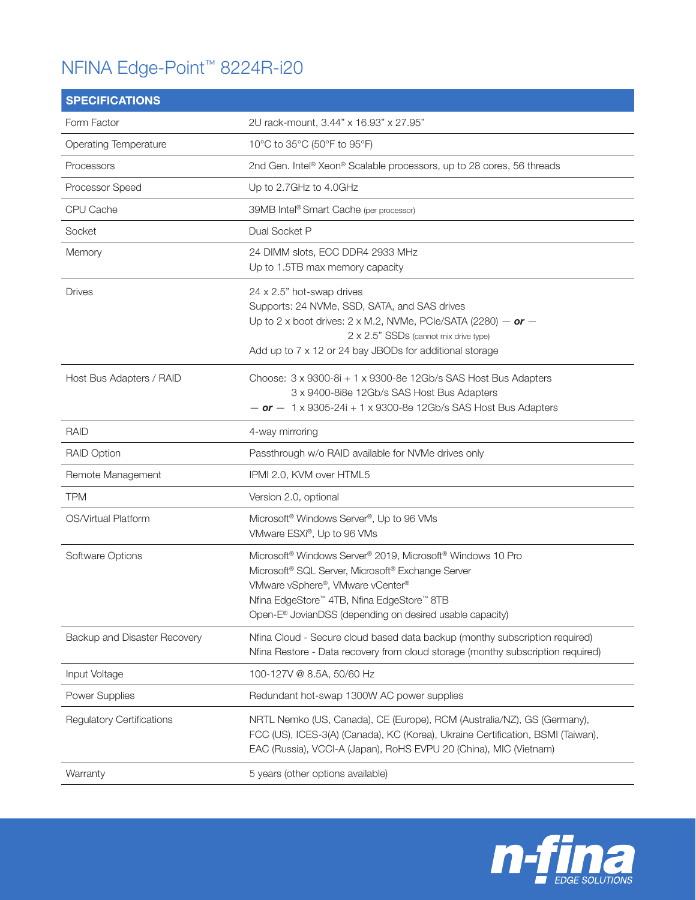## NFINA Edge-Point™ 8224R-i20

| <b>SPECIFICATIONS</b>            |                                                                                                                                                                                                                                                                                                                           |
|----------------------------------|---------------------------------------------------------------------------------------------------------------------------------------------------------------------------------------------------------------------------------------------------------------------------------------------------------------------------|
| Form Factor                      | 2U rack-mount, 3.44" x 16.93" x 27.95"                                                                                                                                                                                                                                                                                    |
| Operating Temperature            | 10°C to 35°C (50°F to 95°F)                                                                                                                                                                                                                                                                                               |
| Processors                       | 2nd Gen. Intel® Xeon® Scalable processors, up to 28 cores, 56 threads                                                                                                                                                                                                                                                     |
| Processor Speed                  | Up to 2.7GHz to 4.0GHz                                                                                                                                                                                                                                                                                                    |
| CPU Cache                        | 39MB Intel® Smart Cache (per processor)                                                                                                                                                                                                                                                                                   |
| Socket                           | Dual Socket P                                                                                                                                                                                                                                                                                                             |
| Memory                           | 24 DIMM slots, ECC DDR4 2933 MHz<br>Up to 1.5TB max memory capacity                                                                                                                                                                                                                                                       |
| <b>Drives</b>                    | 24 x 2.5" hot-swap drives<br>Supports: 24 NVMe, SSD, SATA, and SAS drives<br>Up to 2 x boot drives: $2 \times M.2$ , NVMe, PCle/SATA (2280) - or -<br>2 x 2.5" SSDs (cannot mix drive type)<br>Add up to 7 x 12 or 24 bay JBODs for additional storage                                                                    |
| Host Bus Adapters / RAID         | Choose: 3 x 9300-8i + 1 x 9300-8e 12Gb/s SAS Host Bus Adapters<br>3 x 9400-8i8e 12Gb/s SAS Host Bus Adapters<br>$-$ or $-$ 1 x 9305-24i + 1 x 9300-8e 12Gb/s SAS Host Bus Adapters                                                                                                                                        |
| <b>RAID</b>                      | 4-way mirroring                                                                                                                                                                                                                                                                                                           |
| <b>RAID Option</b>               | Passthrough w/o RAID available for NVMe drives only                                                                                                                                                                                                                                                                       |
| Remote Management                | IPMI 2.0, KVM over HTML5                                                                                                                                                                                                                                                                                                  |
| <b>TPM</b>                       | Version 2.0, optional                                                                                                                                                                                                                                                                                                     |
| OS/Virtual Platform              | Microsoft <sup>®</sup> Windows Server <sup>®</sup> , Up to 96 VMs<br>VMware ESXi®, Up to 96 VMs                                                                                                                                                                                                                           |
| Software Options                 | Microsoft <sup>®</sup> Windows Server <sup>®</sup> 2019, Microsoft <sup>®</sup> Windows 10 Pro<br>Microsoft <sup>®</sup> SQL Server, Microsoft® Exchange Server<br>VMware vSphere®, VMware vCenter®<br>Nfina EdgeStore™ 4TB, Nfina EdgeStore™ 8TB<br>Open-E <sup>®</sup> JovianDSS (depending on desired usable capacity) |
| Backup and Disaster Recovery     | Nfina Cloud - Secure cloud based data backup (monthy subscription required)<br>Nfina Restore - Data recovery from cloud storage (monthy subscription required)                                                                                                                                                            |
| Input Voltage                    | 100-127V @ 8.5A, 50/60 Hz                                                                                                                                                                                                                                                                                                 |
| Power Supplies                   | Redundant hot-swap 1300W AC power supplies                                                                                                                                                                                                                                                                                |
| <b>Regulatory Certifications</b> | NRTL Nemko (US, Canada), CE (Europe), RCM (Australia/NZ), GS (Germany),<br>FCC (US), ICES-3(A) (Canada), KC (Korea), Ukraine Certification, BSMI (Taiwan),<br>EAC (Russia), VCCI-A (Japan), RoHS EVPU 20 (China), MIC (Vietnam)                                                                                           |
| Warranty                         | 5 years (other options available)                                                                                                                                                                                                                                                                                         |